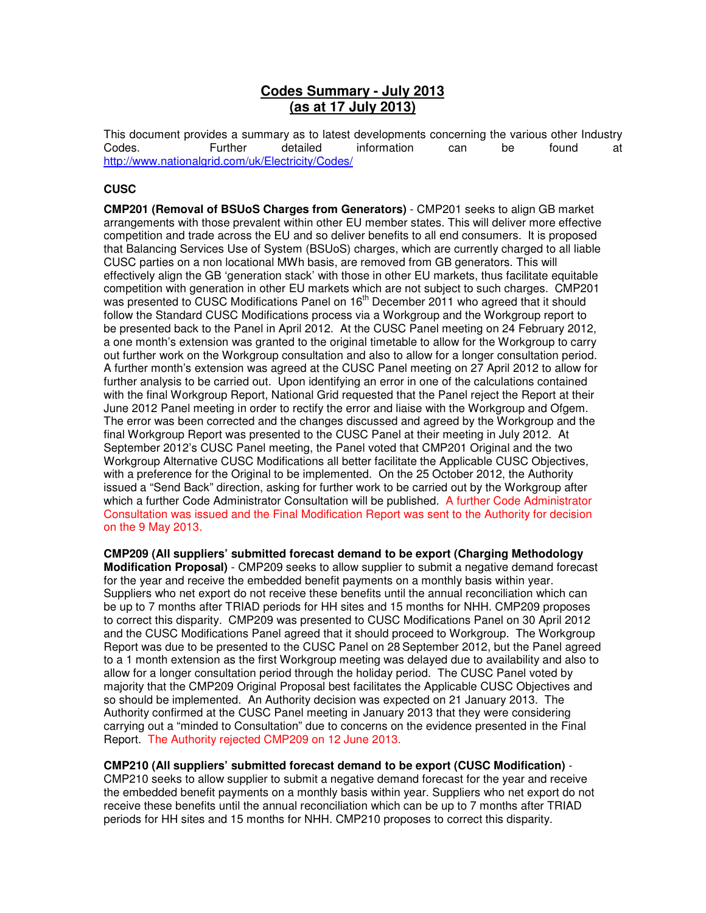## **Codes Summary - July 2013 (as at 17 July 2013)**

This document provides a summary as to latest developments concerning the various other Industry<br>Codes. 
Summary as to late information  $\frac{1}{2}$  can be found at Codes. Further detailed information can be found at http://www.nationalgrid.com/uk/Electricity/Codes/

## **CUSC**

**CMP201 (Removal of BSUoS Charges from Generators)** - CMP201 seeks to align GB market arrangements with those prevalent within other EU member states. This will deliver more effective competition and trade across the EU and so deliver benefits to all end consumers. It is proposed that Balancing Services Use of System (BSUoS) charges, which are currently charged to all liable CUSC parties on a non locational MWh basis, are removed from GB generators. This will effectively align the GB 'generation stack' with those in other EU markets, thus facilitate equitable competition with generation in other EU markets which are not subject to such charges. CMP201 was presented to CUSC Modifications Panel on  $16<sup>th</sup>$  December 2011 who agreed that it should follow the Standard CUSC Modifications process via a Workgroup and the Workgroup report to be presented back to the Panel in April 2012. At the CUSC Panel meeting on 24 February 2012, a one month's extension was granted to the original timetable to allow for the Workgroup to carry out further work on the Workgroup consultation and also to allow for a longer consultation period. A further month's extension was agreed at the CUSC Panel meeting on 27 April 2012 to allow for further analysis to be carried out. Upon identifying an error in one of the calculations contained with the final Workgroup Report, National Grid requested that the Panel reject the Report at their June 2012 Panel meeting in order to rectify the error and liaise with the Workgroup and Ofgem. The error was been corrected and the changes discussed and agreed by the Workgroup and the final Workgroup Report was presented to the CUSC Panel at their meeting in July 2012. At September 2012's CUSC Panel meeting, the Panel voted that CMP201 Original and the two Workgroup Alternative CUSC Modifications all better facilitate the Applicable CUSC Objectives, with a preference for the Original to be implemented. On the 25 October 2012, the Authority issued a "Send Back" direction, asking for further work to be carried out by the Workgroup after which a further Code Administrator Consultation will be published. A further Code Administrator Consultation was issued and the Final Modification Report was sent to the Authority for decision on the 9 May 2013.

**CMP209 (All suppliers' submitted forecast demand to be export (Charging Methodology Modification Proposal)** - CMP209 seeks to allow supplier to submit a negative demand forecast for the year and receive the embedded benefit payments on a monthly basis within year. Suppliers who net export do not receive these benefits until the annual reconciliation which can be up to 7 months after TRIAD periods for HH sites and 15 months for NHH. CMP209 proposes to correct this disparity.CMP209 was presented to CUSC Modifications Panel on 30 April 2012 and the CUSC Modifications Panel agreed that it should proceed to Workgroup. The Workgroup Report was due to be presented to the CUSC Panel on 28 September 2012, but the Panel agreed to a 1 month extension as the first Workgroup meeting was delayed due to availability and also to allow for a longer consultation period through the holiday period. The CUSC Panel voted by majority that the CMP209 Original Proposal best facilitates the Applicable CUSC Objectives and so should be implemented. An Authority decision was expected on 21 January 2013. The Authority confirmed at the CUSC Panel meeting in January 2013 that they were considering carrying out a "minded to Consultation" due to concerns on the evidence presented in the Final Report. The Authority rejected CMP209 on 12 June 2013.

## **CMP210 (All suppliers' submitted forecast demand to be export (CUSC Modification)** -

CMP210 seeks to allow supplier to submit a negative demand forecast for the year and receive the embedded benefit payments on a monthly basis within year. Suppliers who net export do not receive these benefits until the annual reconciliation which can be up to 7 months after TRIAD periods for HH sites and 15 months for NHH. CMP210 proposes to correct this disparity.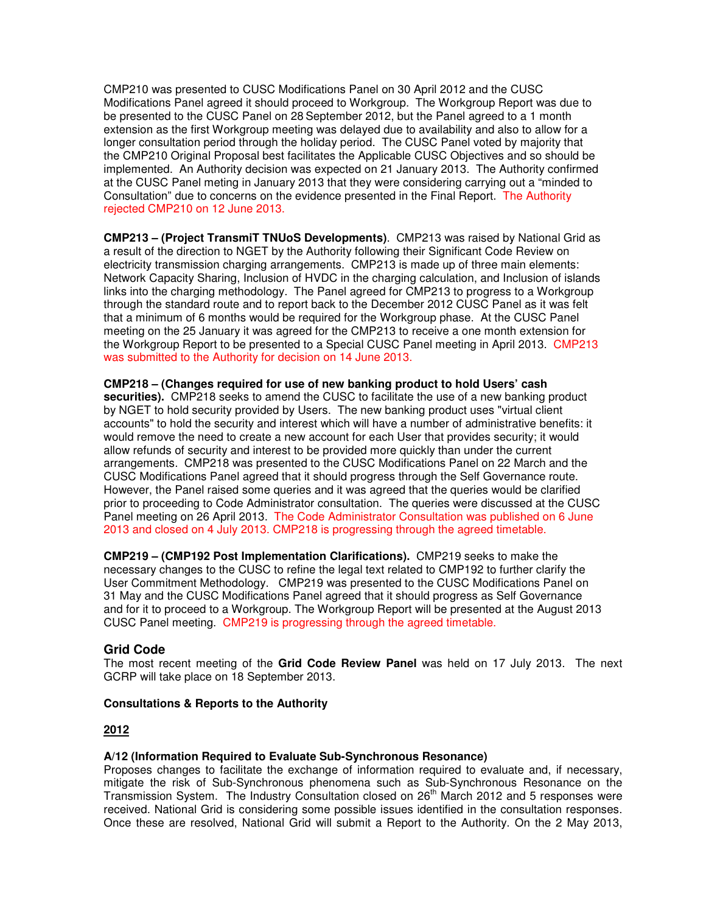CMP210 was presented to CUSC Modifications Panel on 30 April 2012 and the CUSC Modifications Panel agreed it should proceed to Workgroup. The Workgroup Report was due to be presented to the CUSC Panel on 28 September 2012, but the Panel agreed to a 1 month extension as the first Workgroup meeting was delayed due to availability and also to allow for a longer consultation period through the holiday period. The CUSC Panel voted by majority that the CMP210 Original Proposal best facilitates the Applicable CUSC Objectives and so should be implemented. An Authority decision was expected on 21 January 2013. The Authority confirmed at the CUSC Panel meting in January 2013 that they were considering carrying out a "minded to Consultation" due to concerns on the evidence presented in the Final Report. The Authority rejected CMP210 on 12 June 2013.

**CMP213 – (Project TransmiT TNUoS Developments)**. CMP213 was raised by National Grid as a result of the direction to NGET by the Authority following their Significant Code Review on electricity transmission charging arrangements. CMP213 is made up of three main elements: Network Capacity Sharing, Inclusion of HVDC in the charging calculation, and Inclusion of islands links into the charging methodology. The Panel agreed for CMP213 to progress to a Workgroup through the standard route and to report back to the December 2012 CUSC Panel as it was felt that a minimum of 6 months would be required for the Workgroup phase. At the CUSC Panel meeting on the 25 January it was agreed for the CMP213 to receive a one month extension for the Workgroup Report to be presented to a Special CUSC Panel meeting in April 2013. CMP213 was submitted to the Authority for decision on 14 June 2013.

**CMP218 – (Changes required for use of new banking product to hold Users' cash securities).** CMP218 seeks to amend the CUSC to facilitate the use of a new banking product by NGET to hold security provided by Users. The new banking product uses "virtual client accounts" to hold the security and interest which will have a number of administrative benefits: it would remove the need to create a new account for each User that provides security; it would allow refunds of security and interest to be provided more quickly than under the current arrangements. CMP218 was presented to the CUSC Modifications Panel on 22 March and the CUSC Modifications Panel agreed that it should progress through the Self Governance route. However, the Panel raised some queries and it was agreed that the queries would be clarified prior to proceeding to Code Administrator consultation. The queries were discussed at the CUSC Panel meeting on 26 April 2013. The Code Administrator Consultation was published on 6 June 2013 and closed on 4 July 2013. CMP218 is progressing through the agreed timetable.

**CMP219 – (CMP192 Post Implementation Clarifications).** CMP219 seeks to make the necessary changes to the CUSC to refine the legal text related to CMP192 to further clarify the User Commitment Methodology. CMP219 was presented to the CUSC Modifications Panel on 31 May and the CUSC Modifications Panel agreed that it should progress as Self Governance and for it to proceed to a Workgroup. The Workgroup Report will be presented at the August 2013 CUSC Panel meeting. CMP219 is progressing through the agreed timetable.

## **Grid Code**

The most recent meeting of the **Grid Code Review Panel** was held on 17 July 2013. The next GCRP will take place on 18 September 2013.

## **Consultations & Reports to the Authority**

#### **2012**

#### **A/12 (Information Required to Evaluate Sub-Synchronous Resonance)**

Proposes changes to facilitate the exchange of information required to evaluate and, if necessary, mitigate the risk of Sub-Synchronous phenomena such as Sub-Synchronous Resonance on the Transmission System. The Industry Consultation closed on 26<sup>th</sup> March 2012 and 5 responses were received. National Grid is considering some possible issues identified in the consultation responses. Once these are resolved, National Grid will submit a Report to the Authority. On the 2 May 2013,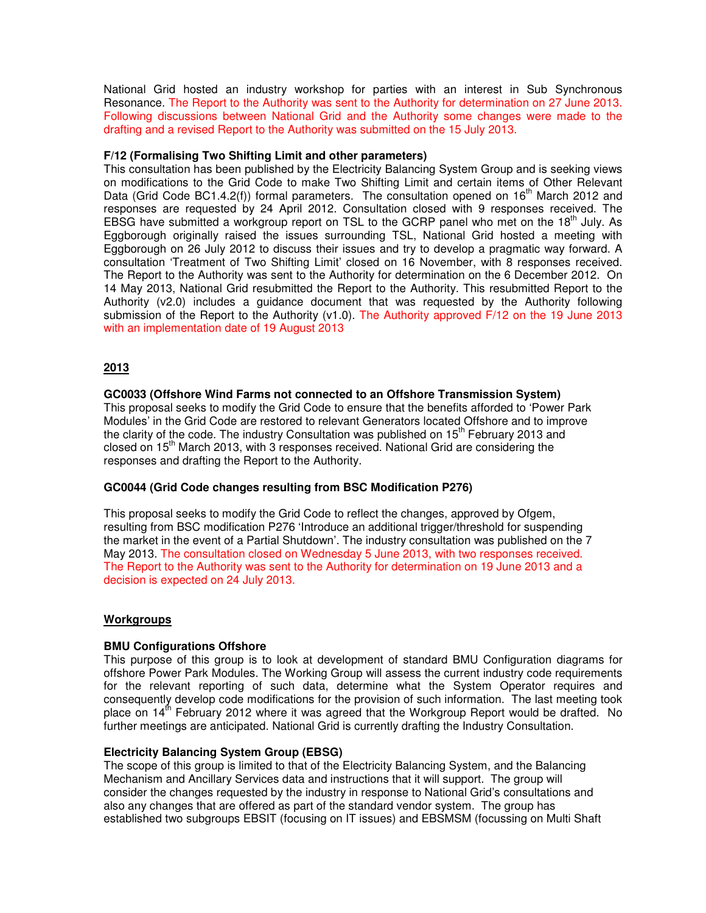National Grid hosted an industry workshop for parties with an interest in Sub Synchronous Resonance. The Report to the Authority was sent to the Authority for determination on 27 June 2013. Following discussions between National Grid and the Authority some changes were made to the drafting and a revised Report to the Authority was submitted on the 15 July 2013.

#### **F/12 (Formalising Two Shifting Limit and other parameters)**

This consultation has been published by the Electricity Balancing System Group and is seeking views on modifications to the Grid Code to make Two Shifting Limit and certain items of Other Relevant Data (Grid Code BC1.4.2(f)) formal parameters. The consultation opened on  $16<sup>th</sup>$  March 2012 and responses are requested by 24 April 2012. Consultation closed with 9 responses received. The EBSG have submitted a workgroup report on TSL to the GCRP panel who met on the 18<sup>th</sup> July. As Eggborough originally raised the issues surrounding TSL, National Grid hosted a meeting with Eggborough on 26 July 2012 to discuss their issues and try to develop a pragmatic way forward. A consultation 'Treatment of Two Shifting Limit' closed on 16 November, with 8 responses received. The Report to the Authority was sent to the Authority for determination on the 6 December 2012. On 14 May 2013, National Grid resubmitted the Report to the Authority. This resubmitted Report to the Authority (v2.0) includes a guidance document that was requested by the Authority following submission of the Report to the Authority (v1.0). The Authority approved F/12 on the 19 June 2013 with an implementation date of 19 August 2013

## **2013**

## **GC0033 (Offshore Wind Farms not connected to an Offshore Transmission System)**

This proposal seeks to modify the Grid Code to ensure that the benefits afforded to 'Power Park Modules' in the Grid Code are restored to relevant Generators located Offshore and to improve the clarity of the code. The industry Consultation was published on  $15<sup>th</sup>$  February 2013 and closed on  $15<sup>th</sup>$  March 2013, with 3 responses received. National Grid are considering the responses and drafting the Report to the Authority.

#### **GC0044 (Grid Code changes resulting from BSC Modification P276)**

This proposal seeks to modify the Grid Code to reflect the changes, approved by Ofgem, resulting from BSC modification P276 'Introduce an additional trigger/threshold for suspending the market in the event of a Partial Shutdown'. The industry consultation was published on the 7 May 2013. The consultation closed on Wednesday 5 June 2013, with two responses received. The Report to the Authority was sent to the Authority for determination on 19 June 2013 and a decision is expected on 24 July 2013.

#### **Workgroups**

#### **BMU Configurations Offshore**

This purpose of this group is to look at development of standard BMU Configuration diagrams for offshore Power Park Modules. The Working Group will assess the current industry code requirements for the relevant reporting of such data, determine what the System Operator requires and consequently develop code modifications for the provision of such information. The last meeting took place on  $14<sup>th</sup>$  February 2012 where it was agreed that the Workgroup Report would be drafted. No further meetings are anticipated. National Grid is currently drafting the Industry Consultation.

#### **Electricity Balancing System Group (EBSG)**

The scope of this group is limited to that of the Electricity Balancing System, and the Balancing Mechanism and Ancillary Services data and instructions that it will support. The group will consider the changes requested by the industry in response to National Grid's consultations and also any changes that are offered as part of the standard vendor system. The group has established two subgroups EBSIT (focusing on IT issues) and EBSMSM (focussing on Multi Shaft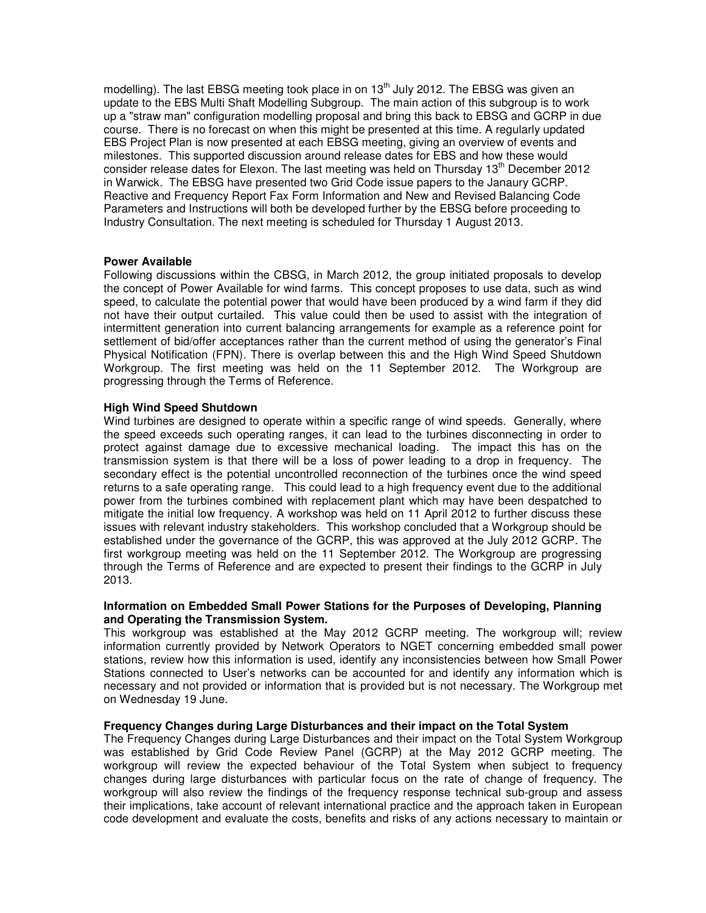modelling). The last EBSG meeting took place in on  $13<sup>th</sup>$  July 2012. The EBSG was given an update to the EBS Multi Shaft Modelling Subgroup. The main action of this subgroup is to work up a "straw man" configuration modelling proposal and bring this back to EBSG and GCRP in due course. There is no forecast on when this might be presented at this time. A regularly updated EBS Project Plan is now presented at each EBSG meeting, giving an overview of events and milestones. This supported discussion around release dates for EBS and how these would consider release dates for Elexon. The last meeting was held on Thursday 13<sup>th</sup> December 2012 in Warwick. The EBSG have presented two Grid Code issue papers to the Janaury GCRP. Reactive and Frequency Report Fax Form Information and New and Revised Balancing Code Parameters and Instructions will both be developed further by the EBSG before proceeding to Industry Consultation. The next meeting is scheduled for Thursday 1 August 2013.

#### **Power Available**

Following discussions within the CBSG, in March 2012, the group initiated proposals to develop the concept of Power Available for wind farms. This concept proposes to use data, such as wind speed, to calculate the potential power that would have been produced by a wind farm if they did not have their output curtailed. This value could then be used to assist with the integration of intermittent generation into current balancing arrangements for example as a reference point for settlement of bid/offer acceptances rather than the current method of using the generator's Final Physical Notification (FPN). There is overlap between this and the High Wind Speed Shutdown Workgroup. The first meeting was held on the 11 September 2012. The Workgroup are progressing through the Terms of Reference.

#### **High Wind Speed Shutdown**

Wind turbines are designed to operate within a specific range of wind speeds. Generally, where the speed exceeds such operating ranges, it can lead to the turbines disconnecting in order to protect against damage due to excessive mechanical loading. The impact this has on the transmission system is that there will be a loss of power leading to a drop in frequency. The secondary effect is the potential uncontrolled reconnection of the turbines once the wind speed returns to a safe operating range. This could lead to a high frequency event due to the additional power from the turbines combined with replacement plant which may have been despatched to mitigate the initial low frequency. A workshop was held on 11 April 2012 to further discuss these issues with relevant industry stakeholders. This workshop concluded that a Workgroup should be established under the governance of the GCRP, this was approved at the July 2012 GCRP. The first workgroup meeting was held on the 11 September 2012. The Workgroup are progressing through the Terms of Reference and are expected to present their findings to the GCRP in July 2013.

#### **Information on Embedded Small Power Stations for the Purposes of Developing, Planning and Operating the Transmission System.**

This workgroup was established at the May 2012 GCRP meeting. The workgroup will; review information currently provided by Network Operators to NGET concerning embedded small power stations, review how this information is used, identify any inconsistencies between how Small Power Stations connected to User's networks can be accounted for and identify any information which is necessary and not provided or information that is provided but is not necessary. The Workgroup met on Wednesday 19 June.

#### **Frequency Changes during Large Disturbances and their impact on the Total System**

The Frequency Changes during Large Disturbances and their impact on the Total System Workgroup was established by Grid Code Review Panel (GCRP) at the May 2012 GCRP meeting. The workgroup will review the expected behaviour of the Total System when subject to frequency changes during large disturbances with particular focus on the rate of change of frequency. The workgroup will also review the findings of the frequency response technical sub-group and assess their implications, take account of relevant international practice and the approach taken in European code development and evaluate the costs, benefits and risks of any actions necessary to maintain or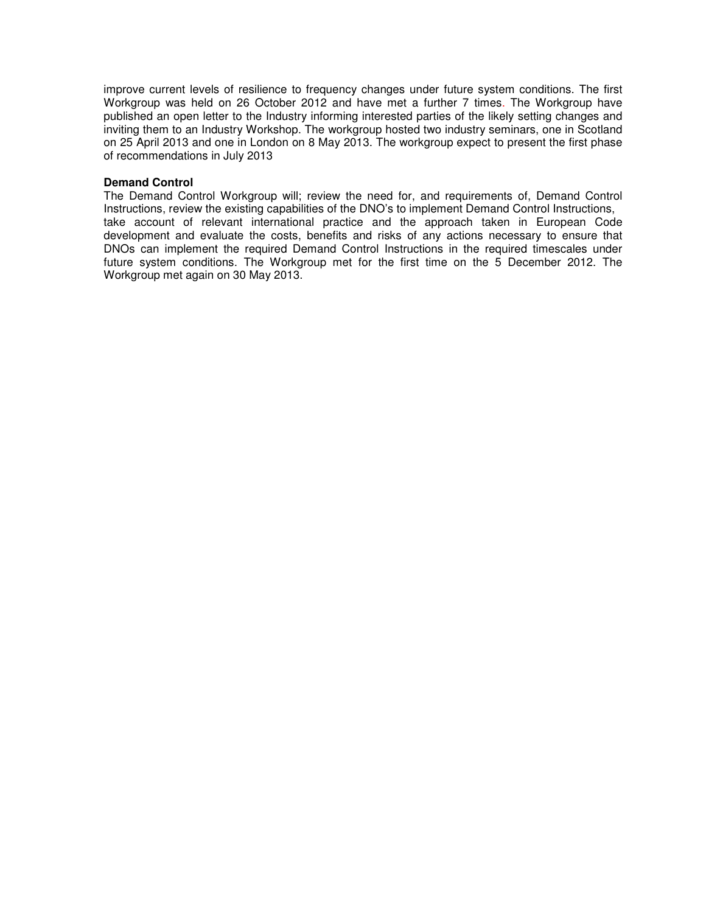improve current levels of resilience to frequency changes under future system conditions. The first Workgroup was held on 26 October 2012 and have met a further 7 times. The Workgroup have published an open letter to the Industry informing interested parties of the likely setting changes and inviting them to an Industry Workshop. The workgroup hosted two industry seminars, one in Scotland on 25 April 2013 and one in London on 8 May 2013. The workgroup expect to present the first phase of recommendations in July 2013

#### **Demand Control**

The Demand Control Workgroup will; review the need for, and requirements of, Demand Control Instructions, review the existing capabilities of the DNO's to implement Demand Control Instructions, take account of relevant international practice and the approach taken in European Code development and evaluate the costs, benefits and risks of any actions necessary to ensure that DNOs can implement the required Demand Control Instructions in the required timescales under future system conditions. The Workgroup met for the first time on the 5 December 2012. The Workgroup met again on 30 May 2013.